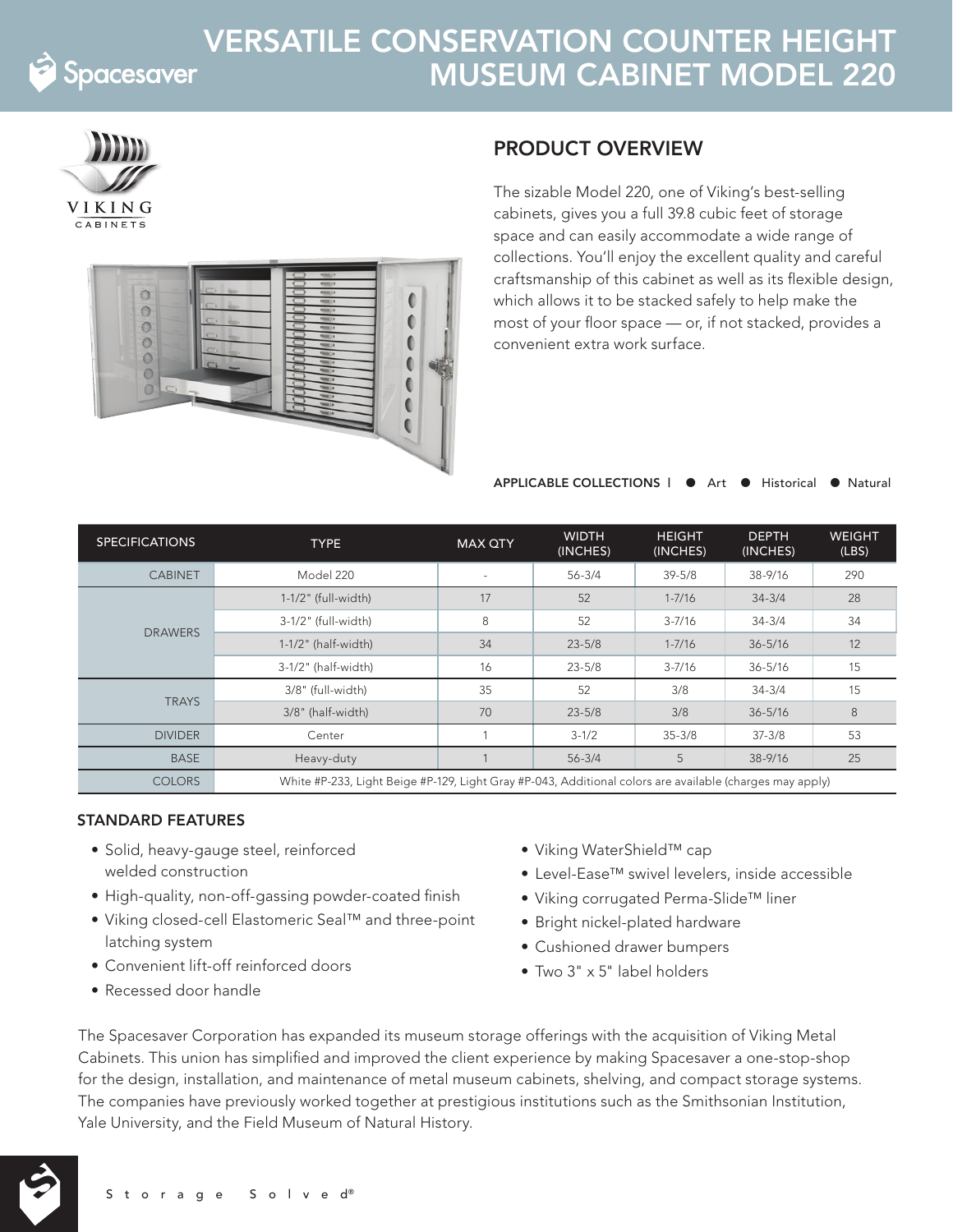

## VERSATILE CONSERVATION COUNTER HEIGHT MUSEUM CABINET MODEL 220





## PRODUCT OVERVIEW

The sizable Model 220, one of Viking's best-selling cabinets, gives you a full 39.8 cubic feet of storage space and can easily accommodate a wide range of collections. You'll enjoy the excellent quality and careful craftsmanship of this cabinet as well as its flexible design, which allows it to be stacked safely to help make the most of your floor space — or, if not stacked, provides a convenient extra work surface.

APPLICABLE COLLECTIONS | ● Art ● Historical ● Natural

| <b>SPECIFICATIONS</b> | <b>TYPE</b>                                                                                              | <b>MAX QTY</b>           | <b>WIDTH</b><br>(INCHES) | <b>HEIGHT</b><br>(INCHES) | <b>DEPTH</b><br>(INCHES) | <b>WEIGHT</b><br>(LBS) |
|-----------------------|----------------------------------------------------------------------------------------------------------|--------------------------|--------------------------|---------------------------|--------------------------|------------------------|
| <b>CABINET</b>        | Model 220                                                                                                | $\overline{\phantom{a}}$ | $56 - 3/4$               | $39 - 5/8$                | 38-9/16                  | 290                    |
| <b>DRAWERS</b>        | $1-1/2$ " (full-width)                                                                                   | 17                       | 52                       | $1 - 7/16$                | $34 - 3/4$               | 28                     |
|                       | 3-1/2" (full-width)                                                                                      | 8                        | 52                       | $3 - 7/16$                | $34 - 3/4$               | 34                     |
|                       | $1-1/2$ " (half-width)                                                                                   | 34                       | $23 - 5/8$               | $1 - 7/16$                | $36 - 5/16$              | 12                     |
|                       | 3-1/2" (half-width)                                                                                      | 16                       | $23 - 5/8$               | $3 - 7/16$                | $36 - 5/16$              | 15                     |
| <b>TRAYS</b>          | 3/8" (full-width)                                                                                        | 35                       | 52                       | 3/8                       | $34 - 3/4$               | 15                     |
|                       | 3/8" (half-width)                                                                                        | 70                       | $23 - 5/8$               | 3/8                       | $36 - 5/16$              | 8                      |
| <b>DIVIDER</b>        | Center                                                                                                   |                          | $3 - 1/2$                | $35 - 3/8$                | $37 - 3/8$               | 53                     |
| <b>BASE</b>           | Heavy-duty                                                                                               |                          | $56 - 3/4$               | 5                         | $38 - 9/16$              | 25                     |
| <b>COLORS</b>         | White #P-233, Light Beige #P-129, Light Gray #P-043, Additional colors are available (charges may apply) |                          |                          |                           |                          |                        |

## STANDARD FEATURES

- Solid, heavy-gauge steel, reinforced welded construction
- High-quality, non-off-gassing powder-coated finish
- Viking closed-cell Elastomeric Seal™ and three-point latching system
- Convenient lift-off reinforced doors
- Recessed door handle
- Viking WaterShield™ cap
- Level-Ease™ swivel levelers, inside accessible
- Viking corrugated Perma-Slide™ liner
- Bright nickel-plated hardware
- Cushioned drawer bumpers
- Two 3" x 5" label holders

The Spacesaver Corporation has expanded its museum storage offerings with the acquisition of Viking Metal Cabinets. This union has simplified and improved the client experience by making Spacesaver a one-stop-shop for the design, installation, and maintenance of metal museum cabinets, shelving, and compact storage systems. The companies have previously worked together at prestigious institutions such as the Smithsonian Institution, Yale University, and the Field Museum of Natural History.